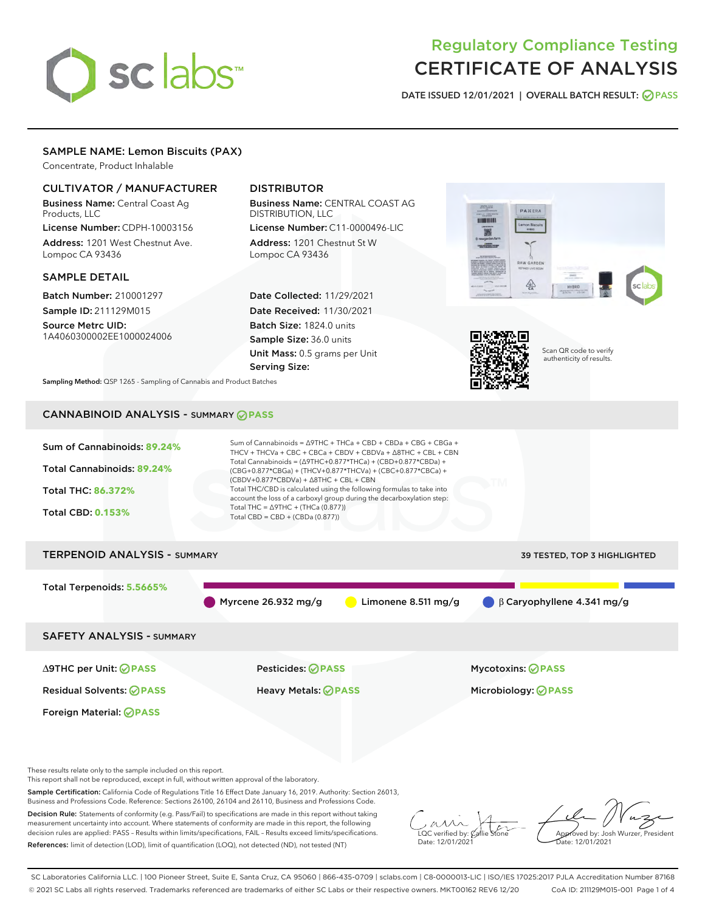# sclabs<sup>\*</sup>

# Regulatory Compliance Testing CERTIFICATE OF ANALYSIS

DATE ISSUED 12/01/2021 | OVERALL BATCH RESULT: @ PASS

# SAMPLE NAME: Lemon Biscuits (PAX)

Concentrate, Product Inhalable

# CULTIVATOR / MANUFACTURER

Business Name: Central Coast Ag Products, LLC

License Number: CDPH-10003156 Address: 1201 West Chestnut Ave. Lompoc CA 93436

### SAMPLE DETAIL

Batch Number: 210001297 Sample ID: 211129M015

Source Metrc UID: 1A4060300002EE1000024006

# DISTRIBUTOR

Business Name: CENTRAL COAST AG DISTRIBUTION, LLC License Number: C11-0000496-LIC

Address: 1201 Chestnut St W Lompoc CA 93436

Date Collected: 11/29/2021 Date Received: 11/30/2021 Batch Size: 1824.0 units Sample Size: 36.0 units Unit Mass: 0.5 grams per Unit Serving Size:





Scan QR code to verify authenticity of results.

Sampling Method: QSP 1265 - Sampling of Cannabis and Product Batches

# CANNABINOID ANALYSIS - SUMMARY **PASS**



These results relate only to the sample included on this report.

This report shall not be reproduced, except in full, without written approval of the laboratory.

Sample Certification: California Code of Regulations Title 16 Effect Date January 16, 2019. Authority: Section 26013, Business and Professions Code. Reference: Sections 26100, 26104 and 26110, Business and Professions Code.

Decision Rule: Statements of conformity (e.g. Pass/Fail) to specifications are made in this report without taking measurement uncertainty into account. Where statements of conformity are made in this report, the following decision rules are applied: PASS – Results within limits/specifications, FAIL – Results exceed limits/specifications. References: limit of detection (LOD), limit of quantification (LOQ), not detected (ND), not tested (NT)

 $\overline{\text{LOC}}$  verified by:  $\mathcal C$ Date: 12/01/2021

Approved by: Josh Wurzer, President ate: 12/01/2021

SC Laboratories California LLC. | 100 Pioneer Street, Suite E, Santa Cruz, CA 95060 | 866-435-0709 | sclabs.com | C8-0000013-LIC | ISO/IES 17025:2017 PJLA Accreditation Number 87168 © 2021 SC Labs all rights reserved. Trademarks referenced are trademarks of either SC Labs or their respective owners. MKT00162 REV6 12/20 CoA ID: 211129M015-001 Page 1 of 4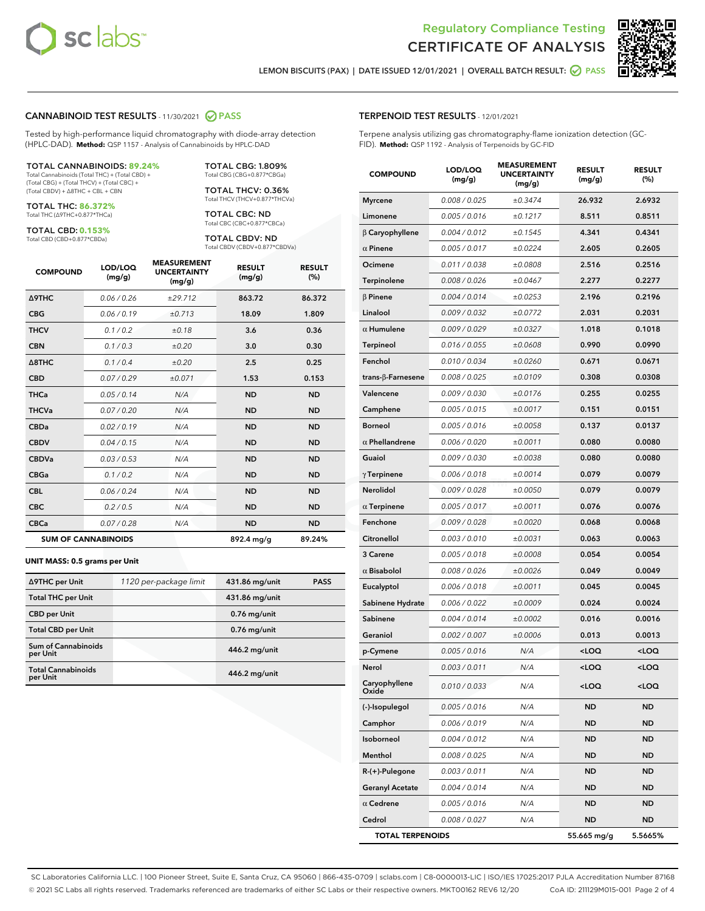

Terpene analysis utilizing gas chromatography-flame ionization detection (GC-

MEASUREMENT



LEMON BISCUITS (PAX) | DATE ISSUED 12/01/2021 | OVERALL BATCH RESULT: **O PASS** 

TERPENOID TEST RESULTS - 12/01/2021

FID). **Method:** QSP 1192 - Analysis of Terpenoids by GC-FID

#### CANNABINOID TEST RESULTS - 11/30/2021 2 PASS

Tested by high-performance liquid chromatography with diode-array detection (HPLC-DAD). **Method:** QSP 1157 - Analysis of Cannabinoids by HPLC-DAD

#### TOTAL CANNABINOIDS: **89.24%**

Total Cannabinoids (Total THC) + (Total CBD) + (Total CBG) + (Total THCV) + (Total CBC) + (Total CBDV) + ∆8THC + CBL + CBN

TOTAL THC: **86.372%** Total THC (∆9THC+0.877\*THCa)

TOTAL CBD: **0.153%**

Total CBD (CBD+0.877\*CBDa)

TOTAL CBG: 1.809% Total CBG (CBG+0.877\*CBGa)

TOTAL THCV: 0.36% Total THCV (THCV+0.877\*THCVa)

TOTAL CBC: ND Total CBC (CBC+0.877\*CBCa)

TOTAL CBDV: ND Total CBDV (CBDV+0.877\*CBDVa)

| <b>COMPOUND</b>            | LOD/LOQ<br>(mg/g) | <b>MEASUREMENT</b><br><b>UNCERTAINTY</b><br>(mg/g) | <b>RESULT</b><br>(mg/g) | <b>RESULT</b><br>(%) |
|----------------------------|-------------------|----------------------------------------------------|-------------------------|----------------------|
| Δ9THC                      | 0.06 / 0.26       | ±29.712                                            | 863.72                  | 86.372               |
| <b>CBG</b>                 | 0.06/0.19         | ±0.713                                             | 18.09                   | 1.809                |
| <b>THCV</b>                | 0.1 / 0.2         | ±0.18                                              | 3.6                     | 0.36                 |
| <b>CBN</b>                 | 0.1/0.3           | ±0.20                                              | 3.0                     | 0.30                 |
| $\triangle$ 8THC           | 0.1/0.4           | ±0.20                                              | 2.5                     | 0.25                 |
| <b>CBD</b>                 | 0.07/0.29         | ±0.071                                             | 1.53                    | 0.153                |
| <b>THCa</b>                | 0.05/0.14         | N/A                                                | <b>ND</b>               | <b>ND</b>            |
| <b>THCVa</b>               | 0.07/0.20         | N/A                                                | <b>ND</b>               | <b>ND</b>            |
| <b>CBDa</b>                | 0.02/0.19         | N/A                                                | <b>ND</b>               | <b>ND</b>            |
| <b>CBDV</b>                | 0.04 / 0.15       | N/A                                                | <b>ND</b>               | <b>ND</b>            |
| <b>CBDVa</b>               | 0.03/0.53         | N/A                                                | <b>ND</b>               | <b>ND</b>            |
| <b>CBGa</b>                | 0.1 / 0.2         | N/A                                                | <b>ND</b>               | <b>ND</b>            |
| <b>CBL</b>                 | 0.06 / 0.24       | N/A                                                | <b>ND</b>               | <b>ND</b>            |
| <b>CBC</b>                 | 0.2 / 0.5         | N/A                                                | <b>ND</b>               | <b>ND</b>            |
| <b>CBCa</b>                | 0.07/0.28         | N/A                                                | <b>ND</b>               | <b>ND</b>            |
| <b>SUM OF CANNABINOIDS</b> |                   |                                                    | 892.4 mg/g              | 89.24%               |

#### **UNIT MASS: 0.5 grams per Unit**

| ∆9THC per Unit                        | 1120 per-package limit | 431.86 mg/unit | <b>PASS</b> |
|---------------------------------------|------------------------|----------------|-------------|
| <b>Total THC per Unit</b>             |                        | 431.86 mg/unit |             |
| <b>CBD per Unit</b>                   |                        | $0.76$ mg/unit |             |
| <b>Total CBD per Unit</b>             |                        | $0.76$ mg/unit |             |
| Sum of Cannabinoids<br>per Unit       |                        | 446.2 mg/unit  |             |
| <b>Total Cannabinoids</b><br>per Unit |                        | 446.2 mg/unit  |             |

| <b>COMPOUND</b>           | LOD/LOQ<br>(mg/g) | <b>MEASUREMENT</b><br><b>UNCERTAINTY</b><br>(mg/g) | <b>RESULT</b><br>(mg/g)                         | <b>RESULT</b><br>$(\%)$ |
|---------------------------|-------------------|----------------------------------------------------|-------------------------------------------------|-------------------------|
| <b>Myrcene</b>            | 0.008 / 0.025     | ±0.3474                                            | 26.932                                          | 2.6932                  |
| Limonene                  | 0.005 / 0.016     | ±0.1217                                            | 8.511                                           | 0.8511                  |
| $\beta$ Caryophyllene     | 0.004 / 0.012     | ±0.1545                                            | 4.341                                           | 0.4341                  |
| $\alpha$ Pinene           | 0.005 / 0.017     | ±0.0224                                            | 2.605                                           | 0.2605                  |
| Ocimene                   | 0.011 / 0.038     | ±0.0808                                            | 2.516                                           | 0.2516                  |
| Terpinolene               | 0.008 / 0.026     | ±0.0467                                            | 2.277                                           | 0.2277                  |
| $\beta$ Pinene            | 0.004 / 0.014     | ±0.0253                                            | 2.196                                           | 0.2196                  |
| Linalool                  | 0.009 / 0.032     | ±0.0772                                            | 2.031                                           | 0.2031                  |
| $\alpha$ Humulene         | 0.009 / 0.029     | ±0.0327                                            | 1.018                                           | 0.1018                  |
| <b>Terpineol</b>          | 0.016 / 0.055     | ±0.0608                                            | 0.990                                           | 0.0990                  |
| Fenchol                   | 0.010 / 0.034     | ±0.0260                                            | 0.671                                           | 0.0671                  |
| trans- $\beta$ -Farnesene | 0.008 / 0.025     | ±0.0109                                            | 0.308                                           | 0.0308                  |
| Valencene                 | 0.009 / 0.030     | ±0.0176                                            | 0.255                                           | 0.0255                  |
| Camphene                  | 0.005 / 0.015     | ±0.0017                                            | 0.151                                           | 0.0151                  |
| <b>Borneol</b>            | 0.005 / 0.016     | ±0.0058                                            | 0.137                                           | 0.0137                  |
| $\alpha$ Phellandrene     | 0.006 / 0.020     | ±0.0011                                            | 0.080                                           | 0.0080                  |
| Guaiol                    | 0.009 / 0.030     | ±0.0038                                            | 0.080                                           | 0.0080                  |
| $\gamma$ Terpinene        | 0.006 / 0.018     | ±0.0014                                            | 0.079                                           | 0.0079                  |
| <b>Nerolidol</b>          | 0.009 / 0.028     | ±0.0050                                            | 0.079                                           | 0.0079                  |
| $\alpha$ Terpinene        | 0.005 / 0.017     | ±0.0011                                            | 0.076                                           | 0.0076                  |
| Fenchone                  | 0.009 / 0.028     | ±0.0020                                            | 0.068                                           | 0.0068                  |
| Citronellol               | 0.003 / 0.010     | ±0.0031                                            | 0.063                                           | 0.0063                  |
| 3 Carene                  | 0.005 / 0.018     | ±0.0008                                            | 0.054                                           | 0.0054                  |
| $\alpha$ Bisabolol        | 0.008 / 0.026     | ±0.0026                                            | 0.049                                           | 0.0049                  |
| Eucalyptol                | 0.006 / 0.018     | ±0.0011                                            | 0.045                                           | 0.0045                  |
| Sabinene Hydrate          | 0.006 / 0.022     | ±0.0009                                            | 0.024                                           | 0.0024                  |
| Sabinene                  | 0.004 / 0.014     | ±0.0002                                            | 0.016                                           | 0.0016                  |
| Geraniol                  | 0.002 / 0.007     | ±0.0006                                            | 0.013                                           | 0.0013                  |
| p-Cymene                  | 0.005 / 0.016     | N/A                                                | <loq< th=""><th><loq< th=""></loq<></th></loq<> | <loq< th=""></loq<>     |
| Nerol                     | 0.003 / 0.011     | N/A                                                | <loq< th=""><th><loq< th=""></loq<></th></loq<> | <loq< th=""></loq<>     |
| Caryophyllene<br>Oxide    | 0.010 / 0.033     | N/A                                                | <loq< th=""><th><loq< th=""></loq<></th></loq<> | <loq< th=""></loq<>     |
| (-)-Isopulegol            | 0.005 / 0.016     | N/A                                                | ND                                              | ND                      |
| Camphor                   | 0.006 / 0.019     | N/A                                                | ND                                              | ND                      |
| Isoborneol                | 0.004 / 0.012     | N/A                                                | ND                                              | <b>ND</b>               |
| Menthol                   | 0.008 / 0.025     | N/A                                                | ND                                              | ND                      |
| $R-(+)$ -Pulegone         | 0.003 / 0.011     | N/A                                                | ND                                              | ND                      |
| <b>Geranyl Acetate</b>    | 0.004 / 0.014     | N/A                                                | ND                                              | ND                      |
| $\alpha$ Cedrene          | 0.005 / 0.016     | N/A                                                | ND                                              | ND                      |
| Cedrol                    | 0.008 / 0.027     | N/A                                                | ND                                              | ND                      |
| <b>TOTAL TERPENOIDS</b>   |                   |                                                    | 55.665 mg/g                                     | 5.5665%                 |

SC Laboratories California LLC. | 100 Pioneer Street, Suite E, Santa Cruz, CA 95060 | 866-435-0709 | sclabs.com | C8-0000013-LIC | ISO/IES 17025:2017 PJLA Accreditation Number 87168 © 2021 SC Labs all rights reserved. Trademarks referenced are trademarks of either SC Labs or their respective owners. MKT00162 REV6 12/20 CoA ID: 211129M015-001 Page 2 of 4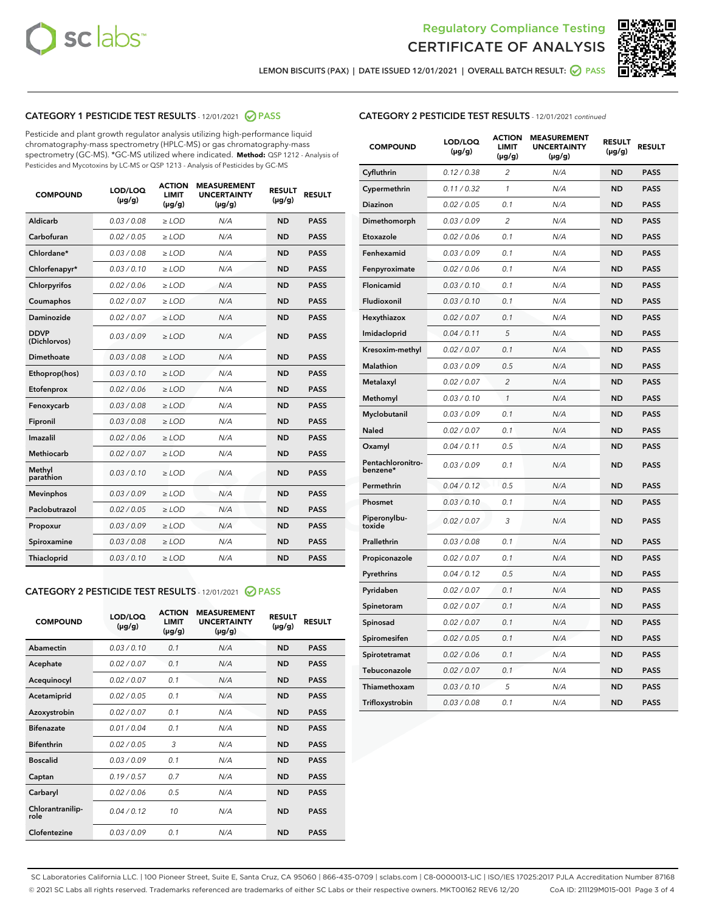



LEMON BISCUITS (PAX) | DATE ISSUED 12/01/2021 | OVERALL BATCH RESULT: @ PASS

# CATEGORY 1 PESTICIDE TEST RESULTS - 12/01/2021 2 PASS

Pesticide and plant growth regulator analysis utilizing high-performance liquid chromatography-mass spectrometry (HPLC-MS) or gas chromatography-mass spectrometry (GC-MS). \*GC-MS utilized where indicated. **Method:** QSP 1212 - Analysis of Pesticides and Mycotoxins by LC-MS or QSP 1213 - Analysis of Pesticides by GC-MS

| <b>COMPOUND</b>             | LOD/LOQ<br>$(\mu g/g)$ | <b>ACTION</b><br><b>LIMIT</b><br>$(\mu g/g)$ | <b>MEASUREMENT</b><br><b>UNCERTAINTY</b><br>$(\mu g/g)$ | <b>RESULT</b><br>$(\mu g/g)$ | <b>RESULT</b> |
|-----------------------------|------------------------|----------------------------------------------|---------------------------------------------------------|------------------------------|---------------|
| Aldicarb                    | 0.03 / 0.08            | $\ge$ LOD                                    | N/A                                                     | <b>ND</b>                    | <b>PASS</b>   |
| Carbofuran                  | 0.02/0.05              | $>$ LOD                                      | N/A                                                     | <b>ND</b>                    | <b>PASS</b>   |
| Chlordane*                  | 0.03 / 0.08            | $\ge$ LOD                                    | N/A                                                     | <b>ND</b>                    | <b>PASS</b>   |
| Chlorfenapyr*               | 0.03/0.10              | $\ge$ LOD                                    | N/A                                                     | <b>ND</b>                    | <b>PASS</b>   |
| Chlorpyrifos                | 0.02 / 0.06            | $\ge$ LOD                                    | N/A                                                     | <b>ND</b>                    | <b>PASS</b>   |
| Coumaphos                   | 0.02 / 0.07            | $>$ LOD                                      | N/A                                                     | <b>ND</b>                    | <b>PASS</b>   |
| Daminozide                  | 0.02/0.07              | $\ge$ LOD                                    | N/A                                                     | <b>ND</b>                    | <b>PASS</b>   |
| <b>DDVP</b><br>(Dichlorvos) | 0.03/0.09              | $\ge$ LOD                                    | N/A                                                     | <b>ND</b>                    | <b>PASS</b>   |
| <b>Dimethoate</b>           | 0.03/0.08              | $\ge$ LOD                                    | N/A                                                     | <b>ND</b>                    | <b>PASS</b>   |
| Ethoprop(hos)               | 0.03/0.10              | $\ge$ LOD                                    | N/A                                                     | <b>ND</b>                    | <b>PASS</b>   |
| Etofenprox                  | 0.02/0.06              | $>$ LOD                                      | N/A                                                     | <b>ND</b>                    | <b>PASS</b>   |
| Fenoxycarb                  | 0.03 / 0.08            | $\ge$ LOD                                    | N/A                                                     | <b>ND</b>                    | <b>PASS</b>   |
| Fipronil                    | 0.03 / 0.08            | $>$ LOD                                      | N/A                                                     | <b>ND</b>                    | <b>PASS</b>   |
| Imazalil                    | 0.02 / 0.06            | $\ge$ LOD                                    | N/A                                                     | <b>ND</b>                    | <b>PASS</b>   |
| <b>Methiocarb</b>           | 0.02 / 0.07            | $\ge$ LOD                                    | N/A                                                     | <b>ND</b>                    | <b>PASS</b>   |
| Methyl<br>parathion         | 0.03/0.10              | $\ge$ LOD                                    | N/A                                                     | <b>ND</b>                    | <b>PASS</b>   |
| <b>Mevinphos</b>            | 0.03/0.09              | $>$ LOD                                      | N/A                                                     | <b>ND</b>                    | <b>PASS</b>   |
| Paclobutrazol               | 0.02 / 0.05            | $\ge$ LOD                                    | N/A                                                     | <b>ND</b>                    | <b>PASS</b>   |
| Propoxur                    | 0.03 / 0.09            | $\ge$ LOD                                    | N/A                                                     | <b>ND</b>                    | <b>PASS</b>   |
| Spiroxamine                 | 0.03 / 0.08            | $\ge$ LOD                                    | N/A                                                     | <b>ND</b>                    | <b>PASS</b>   |
| <b>Thiacloprid</b>          | 0.03/0.10              | $\ge$ LOD                                    | N/A                                                     | <b>ND</b>                    | <b>PASS</b>   |

### CATEGORY 2 PESTICIDE TEST RESULTS - 12/01/2021 @ PASS

| <b>COMPOUND</b>          | LOD/LOQ<br>$(\mu g/g)$ | <b>ACTION</b><br><b>LIMIT</b><br>$(\mu g/g)$ | <b>MEASUREMENT</b><br><b>UNCERTAINTY</b><br>$(\mu g/g)$ | <b>RESULT</b><br>$(\mu g/g)$ | <b>RESULT</b> |
|--------------------------|------------------------|----------------------------------------------|---------------------------------------------------------|------------------------------|---------------|
| Abamectin                | 0.03/0.10              | 0.1                                          | N/A                                                     | <b>ND</b>                    | <b>PASS</b>   |
| Acephate                 | 0.02/0.07              | 0.1                                          | N/A                                                     | <b>ND</b>                    | <b>PASS</b>   |
| Acequinocyl              | 0.02/0.07              | 0.1                                          | N/A                                                     | <b>ND</b>                    | <b>PASS</b>   |
| Acetamiprid              | 0.02/0.05              | 0.1                                          | N/A                                                     | <b>ND</b>                    | <b>PASS</b>   |
| Azoxystrobin             | 0.02/0.07              | 0.1                                          | N/A                                                     | <b>ND</b>                    | <b>PASS</b>   |
| <b>Bifenazate</b>        | 0.01/0.04              | 0.1                                          | N/A                                                     | <b>ND</b>                    | <b>PASS</b>   |
| <b>Bifenthrin</b>        | 0.02 / 0.05            | 3                                            | N/A                                                     | <b>ND</b>                    | <b>PASS</b>   |
| <b>Boscalid</b>          | 0.03/0.09              | 0.1                                          | N/A                                                     | <b>ND</b>                    | <b>PASS</b>   |
| Captan                   | 0.19/0.57              | 0.7                                          | N/A                                                     | <b>ND</b>                    | <b>PASS</b>   |
| Carbaryl                 | 0.02/0.06              | 0.5                                          | N/A                                                     | <b>ND</b>                    | <b>PASS</b>   |
| Chlorantranilip-<br>role | 0.04/0.12              | 10                                           | N/A                                                     | <b>ND</b>                    | <b>PASS</b>   |
| Clofentezine             | 0.03/0.09              | 0.1                                          | N/A                                                     | <b>ND</b>                    | <b>PASS</b>   |

# CATEGORY 2 PESTICIDE TEST RESULTS - 12/01/2021 continued

| <b>COMPOUND</b>               | LOD/LOQ<br>(µg/g) | <b>ACTION</b><br><b>LIMIT</b><br>$(\mu g/g)$ | <b>MEASUREMENT</b><br><b>UNCERTAINTY</b><br>$(\mu g/g)$ | <b>RESULT</b><br>(µg/g) | <b>RESULT</b> |
|-------------------------------|-------------------|----------------------------------------------|---------------------------------------------------------|-------------------------|---------------|
| Cyfluthrin                    | 0.12 / 0.38       | $\overline{c}$                               | N/A                                                     | <b>ND</b>               | <b>PASS</b>   |
| Cypermethrin                  | 0.11 / 0.32       | 1                                            | N/A                                                     | ND                      | <b>PASS</b>   |
| <b>Diazinon</b>               | 0.02 / 0.05       | 0.1                                          | N/A                                                     | ND                      | <b>PASS</b>   |
| Dimethomorph                  | 0.03 / 0.09       | 2                                            | N/A                                                     | ND                      | <b>PASS</b>   |
| Etoxazole                     | 0.02 / 0.06       | 0.1                                          | N/A                                                     | ND                      | <b>PASS</b>   |
| Fenhexamid                    | 0.03 / 0.09       | 0.1                                          | N/A                                                     | <b>ND</b>               | <b>PASS</b>   |
| Fenpyroximate                 | 0.02 / 0.06       | 0.1                                          | N/A                                                     | ND                      | <b>PASS</b>   |
| Flonicamid                    | 0.03 / 0.10       | 0.1                                          | N/A                                                     | ND                      | <b>PASS</b>   |
| Fludioxonil                   | 0.03 / 0.10       | 0.1                                          | N/A                                                     | <b>ND</b>               | <b>PASS</b>   |
| Hexythiazox                   | 0.02 / 0.07       | 0.1                                          | N/A                                                     | <b>ND</b>               | <b>PASS</b>   |
| Imidacloprid                  | 0.04 / 0.11       | 5                                            | N/A                                                     | ND                      | <b>PASS</b>   |
| Kresoxim-methyl               | 0.02 / 0.07       | 0.1                                          | N/A                                                     | <b>ND</b>               | <b>PASS</b>   |
| <b>Malathion</b>              | 0.03 / 0.09       | 0.5                                          | N/A                                                     | <b>ND</b>               | <b>PASS</b>   |
| Metalaxyl                     | 0.02 / 0.07       | $\overline{c}$                               | N/A                                                     | ND                      | <b>PASS</b>   |
| Methomyl                      | 0.03 / 0.10       | 1                                            | N/A                                                     | <b>ND</b>               | <b>PASS</b>   |
| Myclobutanil                  | 0.03 / 0.09       | 0.1                                          | N/A                                                     | ND                      | <b>PASS</b>   |
| Naled                         | 0.02 / 0.07       | 0.1                                          | N/A                                                     | ND                      | <b>PASS</b>   |
| Oxamyl                        | 0.04 / 0.11       | 0.5                                          | N/A                                                     | ND                      | <b>PASS</b>   |
| Pentachloronitro-<br>benzene* | 0.03 / 0.09       | 0.1                                          | N/A                                                     | ND                      | <b>PASS</b>   |
| Permethrin                    | 0.04 / 0.12       | 0.5                                          | N/A                                                     | ND                      | <b>PASS</b>   |
| Phosmet                       | 0.03 / 0.10       | 0.1                                          | N/A                                                     | <b>ND</b>               | <b>PASS</b>   |
| Piperonylbu-<br>toxide        | 0.02 / 0.07       | 3                                            | N/A                                                     | ND                      | <b>PASS</b>   |
| Prallethrin                   | 0.03 / 0.08       | 0.1                                          | N/A                                                     | <b>ND</b>               | <b>PASS</b>   |
| Propiconazole                 | 0.02 / 0.07       | 0.1                                          | N/A                                                     | ND                      | <b>PASS</b>   |
| Pyrethrins                    | 0.04 / 0.12       | 0.5                                          | N/A                                                     | ND                      | <b>PASS</b>   |
| Pyridaben                     | 0.02 / 0.07       | 0.1                                          | N/A                                                     | ND                      | <b>PASS</b>   |
| Spinetoram                    | 0.02 / 0.07       | 0.1                                          | N/A                                                     | <b>ND</b>               | <b>PASS</b>   |
| Spinosad                      | 0.02 / 0.07       | 0.1                                          | N/A                                                     | ND                      | <b>PASS</b>   |
| Spiromesifen                  | 0.02 / 0.05       | 0.1                                          | N/A                                                     | <b>ND</b>               | <b>PASS</b>   |
| Spirotetramat                 | 0.02 / 0.06       | 0.1                                          | N/A                                                     | ND                      | <b>PASS</b>   |
| Tebuconazole                  | 0.02 / 0.07       | 0.1                                          | N/A                                                     | ND                      | <b>PASS</b>   |
| Thiamethoxam                  | 0.03 / 0.10       | 5                                            | N/A                                                     | <b>ND</b>               | <b>PASS</b>   |
| Trifloxystrobin               | 0.03 / 0.08       | 0.1                                          | N/A                                                     | <b>ND</b>               | <b>PASS</b>   |

SC Laboratories California LLC. | 100 Pioneer Street, Suite E, Santa Cruz, CA 95060 | 866-435-0709 | sclabs.com | C8-0000013-LIC | ISO/IES 17025:2017 PJLA Accreditation Number 87168 © 2021 SC Labs all rights reserved. Trademarks referenced are trademarks of either SC Labs or their respective owners. MKT00162 REV6 12/20 CoA ID: 211129M015-001 Page 3 of 4